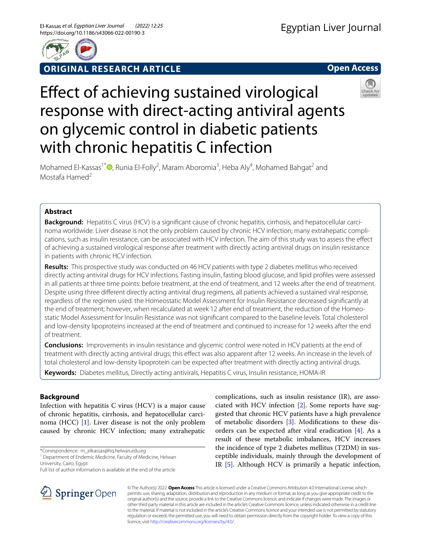

## **ORIGINAL RESEARCH ARTICLE**

**Open Access**

# Efect of achieving sustained virological response with direct-acting antiviral agents on glycemic control in diabetic patients with chronic hepatitis C infection



Mohamed El-Kassas<sup>1\*</sup><sup>®</sup>[,](http://orcid.org/0000-0002-3396-6894) Runia El-Folly<sup>2</sup>, Maram Aboromia<sup>3</sup>, Heba Aly<sup>4</sup>, Mohamed Bahgat<sup>2</sup> and Mostafa Hamed<sup>2</sup>

## **Abstract**

Background: Hepatitis C virus (HCV) is a significant cause of chronic hepatitis, cirrhosis, and hepatocellular carcinoma worldwide. Liver disease is not the only problem caused by chronic HCV infection; many extrahepatic complications, such as insulin resistance, can be associated with HCV infection. The aim of this study was to assess the efect of achieving a sustained virological response after treatment with directly acting antiviral drugs on insulin resistance in patients with chronic HCV infection.

**Results:** This prospective study was conducted on 46 HCV patients with type 2 diabetes mellitus who received directly acting antiviral drugs for HCV infections. Fasting insulin, fasting blood glucose, and lipid profles were assessed in all patients at three time points: before treatment, at the end of treatment, and 12 weeks after the end of treatment. Despite using three diferent directly acting antiviral drug regimens, all patients achieved a sustained viral response, regardless of the regimen used. the Homeostatic Model Assessment for Insulin Resistance decreased signifcantly at the end of treatment; however, when recalculated at week 12 after end of treatment, the reduction of the Homeostatic Model Assessment for Insulin Resistance was not signifcant compared to the baseline levels. Total cholesterol and low-density lipoproteins increased at the end of treatment and continued to increase for 12 weeks after the end of treatment.

**Conclusions:** Improvements in insulin resistance and glycemic control were noted in HCV patients at the end of treatment with directly acting antiviral drugs; this efect was also apparent after 12 weeks. An increase in the levels of total cholesterol and low-density lipoprotein can be expected after treatment with directly acting antiviral drugs.

**Keywords:** Diabetes mellitus, Directly acting antivirals, Hepatitis C virus, Insulin resistance, HOMA-IR

## **Background**

Infection with hepatitis C virus (HCV) is a major cause of chronic hepatitis, cirrhosis, and hepatocellular carcinoma (HCC) [\[1](#page-5-0)]. Liver disease is not the only problem caused by chronic HCV infection; many extrahepatic

\*Correspondence: m\_elkassas@hq.helwan.edu.eg





© The Author(s) 2022. **Open Access** This article is licensed under a Creative Commons Attribution 4.0 International License, which permits use, sharing, adaptation, distribution and reproduction in any medium or format, as long as you give appropriate credit to the original author(s) and the source, provide a link to the Creative Commons licence, and indicate if changes were made. The images or other third party material in this article are included in the article's Creative Commons licence, unless indicated otherwise in a credit line to the material. If material is not included in the article's Creative Commons licence and your intended use is not permitted by statutory regulation or exceeds the permitted use, you will need to obtain permission directly from the copyright holder. To view a copy of this licence, visit [http://creativecommons.org/licenses/by/4.0/.](http://creativecommons.org/licenses/by/4.0/)

<sup>&</sup>lt;sup>1</sup> Department of Endemic Medicine, Faculty of Medicine, Helwan University, Cairo, Egypt

Full list of author information is available at the end of the article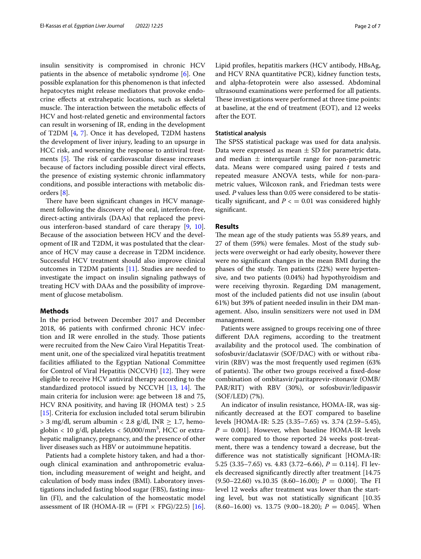insulin sensitivity is compromised in chronic HCV patients in the absence of metabolic syndrome [\[6](#page-5-5)]. One possible explanation for this phenomenon is that infected hepatocytes might release mediators that provoke endocrine efects at extrahepatic locations, such as skeletal muscle. The interaction between the metabolic effects of HCV and host-related genetic and environmental factors can result in worsening of IR, ending in the development of T2DM [\[4](#page-5-3), [7\]](#page-5-6). Once it has developed, T2DM hastens the development of liver injury, leading to an upsurge in HCC risk, and worsening the response to antiviral treatments  $[5]$  $[5]$ . The risk of cardiovascular disease increases because of factors including possible direct viral efects, the presence of existing systemic chronic infammatory conditions, and possible interactions with metabolic disorders [\[8](#page-5-7)].

There have been significant changes in HCV management following the discovery of the oral, interferon-free, direct-acting antivirals (DAAs) that replaced the previous interferon-based standard of care therapy [\[9](#page-5-8), [10](#page-5-9)]. Because of the association between HCV and the development of IR and T2DM, it was postulated that the clearance of HCV may cause a decrease in T2DM incidence. Successful HCV treatment should also improve clinical outcomes in T2DM patients [\[11](#page-5-10)]. Studies are needed to investigate the impact on insulin signaling pathways of treating HCV with DAAs and the possibility of improvement of glucose metabolism.

#### **Methods**

In the period between December 2017 and December 2018, 46 patients with confrmed chronic HCV infection and IR were enrolled in the study. Those patients were recruited from the New Cairo Viral Hepatitis Treatment unit, one of the specialized viral hepatitis treatment facilities afliated to the Egyptian National Committee for Control of Viral Hepatitis (NCCVH)  $[12]$  $[12]$  $[12]$ . They were eligible to receive HCV antiviral therapy according to the standardized protocol issued by NCCVH  $[13, 14]$  $[13, 14]$  $[13, 14]$ . The main criteria for inclusion were: age between 18 and 75, HCV RNA positivity, and having IR (HOMA test) > 2.5 [[15\]](#page-5-14). Criteria for exclusion included total serum bilirubin  $> 3$  mg/dl, serum albumin < 2.8 g/dl, INR  $\geq$  1.7, hemoglobin < 10 g/dl, platelets < 50,000/mm<sup>3</sup>, HCC or extrahepatic malignancy, pregnancy, and the presence of other liver diseases such as HBV or autoimmune hepatitis.

Patients had a complete history taken, and had a thorough clinical examination and anthropometric evaluation, including measurement of weight and height, and calculation of body mass index (BMI). Laboratory investigations included fasting blood sugar (FBS), fasting insulin (FI), and the calculation of the homeostatic model assessment of IR (HOMA-IR = (FPI  $\times$  FPG)/22.5) [\[16](#page-5-15)]. Lipid profles, hepatitis markers (HCV antibody, HBsAg, and HCV RNA quantitative PCR), kidney function tests, and alpha-fetoprotein were also assessed. Abdominal ultrasound examinations were performed for all patients. These investigations were performed at three time points: at baseline, at the end of treatment (EOT), and 12 weeks after the EOT.

#### **Statistical analysis**

The SPSS statistical package was used for data analysis. Data were expressed as mean  $\pm$  SD for parametric data, and median  $\pm$  interquartile range for non-parametric data. Means were compared using paired *t* tests and repeated measure ANOVA tests, while for non-parametric values, Wilcoxon rank, and Friedman tests were used. *P* values less than 0.05 were considered to be statistically significant, and  $P \leq 0.01$  was considered highly signifcant.

#### **Results**

The mean age of the study patients was 55.89 years, and 27 of them (59%) were females. Most of the study subjects were overweight or had early obesity, however there were no signifcant changes in the mean BMI during the phases of the study. Ten patients (22%) were hypertensive, and two patients (0.04%) had hypothyroidism and were receiving thyroxin. Regarding DM management, most of the included patients did not use insulin (about 61%) but 39% of patient needed insulin in their DM management. Also, insulin sensitizers were not used in DM management.

Patients were assigned to groups receiving one of three diferent DAA regimens, according to the treatment availability and the protocol used. The combination of sofosbuvir/daclatasvir (SOF/DAC) with or without ribavirin (RBV) was the most frequently used regimen (63% of patients). The other two groups received a fixed-dose combination of ombitasvir/paritaprevir-ritonavir (OMB/ PAR/RIT) with RBV (30%), or sofosbuvir/ledipasvir (SOF/LED) (7%).

An indicator of insulin resistance, HOMA-IR, was signifcantly decreased at the EOT compared to baseline levels [HOMA-IR: 5.25 (3.35–7.65) vs. 3.74 (2.59–5.45),  $P = 0.001$ . However, when baseline HOMA-IR levels were compared to those reported 24 weeks post-treatment, there was a tendency toward a decrease, but the diference was not statistically signifcant [HOMA-IR: 5.25 (3.35–7.65) vs. 4.83 (3.72–6.66), *P* = 0.114]. FI levels decreased signifcantly directly after treatment [14.75  $(9.50-22.60)$  vs.10.35  $(8.60-16.00); P = 0.000]$ . The FI level 12 weeks after treatment was lower than the starting level, but was not statistically signifcant [10.35  $(8.60-16.00)$  vs. 13.75  $(9.00-18.20)$ ;  $P = 0.045$ ]. When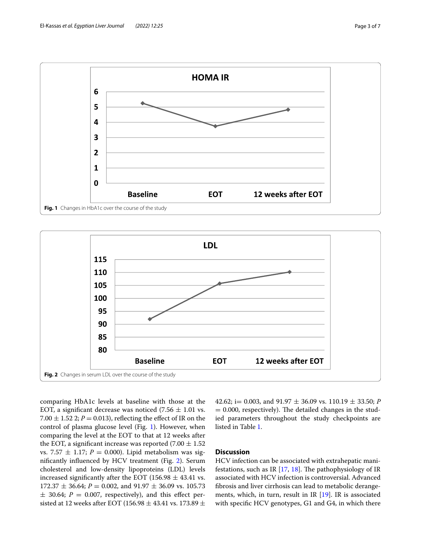

<span id="page-2-0"></span>

<span id="page-2-1"></span>comparing HbA1c levels at baseline with those at the EOT, a significant decrease was noticed  $(7.56 \pm 1.01 \text{ vs.})$ 7.00  $\pm$  1.52 2; *P* = 0.013), reflecting the effect of IR on the control of plasma glucose level (Fig. [1](#page-2-0)). However, when comparing the level at the EOT to that at 12 weeks after the EOT, a significant increase was reported  $(7.00 \pm 1.52)$ vs. 7.57  $\pm$  1.17; *P* = 0.000). Lipid metabolism was signifcantly infuenced by HCV treatment (Fig. [2](#page-2-1)). Serum cholesterol and low-density lipoproteins (LDL) levels increased significantly after the EOT (156.98  $\pm$  43.41 vs.  $172.37 \pm 36.64$ ; *P* = 0.002, and 91.97  $\pm$  36.09 vs. 105.73  $\pm$  30.64; *P* = 0.007, respectively), and this effect persisted at 12 weeks after EOT (156.98  $\pm$  43.41 vs. 173.89  $\pm$  42.62; i= 0.003, and 91.97 ± 36.09 vs. 110.19 ± 33.50; *P*  $= 0.000$ , respectively). The detailed changes in the studied parameters throughout the study checkpoints are listed in Table [1.](#page-3-0)

## **Discussion**

HCV infection can be associated with extrahepatic manifestations, such as IR  $[17, 18]$  $[17, 18]$  $[17, 18]$ . The pathophysiology of IR associated with HCV infection is controversial. Advanced fbrosis and liver cirrhosis can lead to metabolic derangements, which, in turn, result in IR [\[19\]](#page-5-18). IR is associated with specifc HCV genotypes, G1 and G4, in which there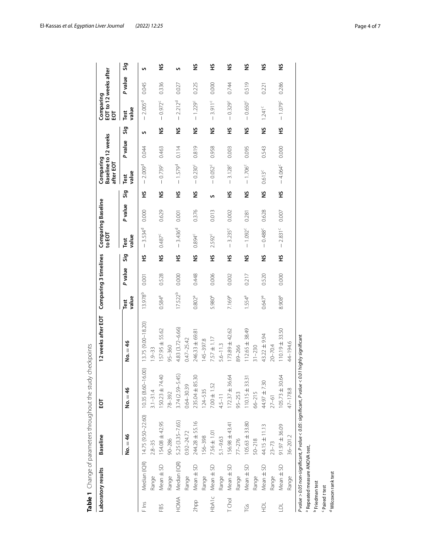|                | Laboratory results              | Baseline           | 요                                                                                              | 12 weeks after EOT Comparing 3 timelines |                     |                |     | Comparing Baseline<br>TOE            |        |     | Comparing<br>after EOT | Baseline to 12 weeks |     | Comparing     | EOT to 12 weeks after<br>EOT |    |
|----------------|---------------------------------|--------------------|------------------------------------------------------------------------------------------------|------------------------------------------|---------------------|----------------|-----|--------------------------------------|--------|-----|------------------------|----------------------|-----|---------------|------------------------------|----|
|                |                                 | $No. = 46$         | No. $= 46$                                                                                     | $No. = 46$                               | value<br>Test       | <b>P</b> value | Sig | value<br>Test                        | Pvalue | Sig | value<br>Test          | Pvalue               | Sig | value<br>Test | Pvalue                       | ္တ |
| F Ins          | Median (IQR)                    | 14.75 (9.50-22.60) | 16.00)<br>10.35 (8.60-                                                                         | 13.75 (9.00-18.20)                       | 13.978 <sup>b</sup> | 0.001          | £   | 3.534 <sup>d</sup><br>$\overline{1}$ | 0.000  | £   | $-2.009^{\rm d}$       | 0.044                | S   | $-2.005^d$    | 0.045                        | S  |
|                | Range                           | $2.8 - 35$         | $3.1 - 31.4$                                                                                   | $1.9 - 33$                               |                     |                |     |                                      |        |     |                        |                      |     |               |                              |    |
| FBS            | $Mean \pm SD$                   | 154.08 ± 42.95     | $\overline{A}$<br>$150.23 \pm 74$                                                              | 157.95 ± 55.62                           | 0.584ª              | 0.528          | š   | $0.487^c$                            | 0.629  | š   | $-0.739^c$             | 0.463                | š   | $-0.972^c$    | 0.336                        | ž  |
|                | Range                           | $90 - 286$         | 78-392                                                                                         | $95 - 360$                               |                     |                |     |                                      |        |     |                        |                      |     |               |                              |    |
| HOMA           | Median (IQR)                    | 5.25 (3.35-7.65)   | $3.74(2.59 - 5.45)$                                                                            | 4.83 (3.72-6.66)                         | $17.522^{b}$        | 0.000          | £   | $-3.436^{d}$                         | 0.001  | £   | $-1.579^{d}$           | 0.114                | š   | $-2.212^{d}$  | 0.027                        | S  |
|                | Range                           | $0.92 - 24.72$     | $0.64 - 30.39$                                                                                 | $0.47 - 25.42$                           |                     |                |     |                                      |        |     |                        |                      |     |               |                              |    |
| 2hpp           | Mean ± SD                       | 244.28 ± 55.16     | 235.04 ± 85.30                                                                                 | 246.33 ± 69.81                           | $0.802^{a}$         | 0.448          | š   | $0.894^{c}$                          | 0.376  | š   | $-0.230^{\circ}$       | 0.819                | š   | $-1.229c$     | 0.225                        | ž  |
|                | Range                           | 156-398            | 124-535                                                                                        | 145-397.8                                |                     |                |     |                                      |        |     |                        |                      |     |               |                              |    |
| <b>HbA1c</b>   | Mean ± SD                       | $7.56 \pm 1.01$    | $7.00 \pm 1.52$                                                                                | $7.57 \pm 1.17$                          | 5.980 <sup>a</sup>  | 0.006          | £   | 2.592 <sup>c</sup>                   | 0.013  | S   | $-0.052^c$             | 0.958                | š   | $-3.911^c$    | 0.000                        | £  |
|                | Range                           | $5.1 - 9.63$       | $4.5 - 11$                                                                                     | $5.6 - 11.3$                             |                     |                |     |                                      |        |     |                        |                      |     |               |                              |    |
| TChol          | Mean ± SD                       | 156.98 ± 43.41     | $\widetilde{\mathcal{A}}$<br>$172.37 \pm 36$                                                   | 173.89 ± 42.62                           | 7.169 <sup>a</sup>  | 0.002          | £   | $-3.235^{c}$                         | 0.002  | £   | 3.128c<br>$\mathsf I$  | 0.003                | £   | $-0.329^{c}$  | 0.744                        | š  |
|                | Range                           | $77 - 276$         | 95-253                                                                                         | 89-266                                   |                     |                |     |                                      |        |     |                        |                      |     |               |                              |    |
| ĭĞ             | $Mean \pm SD$                   | $105.63 \pm 33.80$ | $\overline{\gamma}$<br>$110.15 \pm 33$                                                         | $112.65 \pm 38.49$                       | 1.554 <sup>a</sup>  | 0.217          | š   | $-1.092^c$                           | 0.281  | š   | $-1.706^c$             | 0.095                | š   | $-0.650^c$    | 0.519                        | š  |
|                | Range                           | $50 - 218$         | $66 - 215$                                                                                     | $31 - 230$                               |                     |                |     |                                      |        |     |                        |                      |     |               |                              |    |
| $\vec{P}$      | Mean ± SD                       | $44.15 \pm 11.13$  | $44.97 + 7.30$                                                                                 | 43.22 ± 9.94                             | $0.647^{\rm a}$     | 0.520          | š   | $-0.488^c$                           | 0.628  | š   | $0.613^c$              | 0.543                | š   | $1.241^c$     | 0.221                        | ž  |
|                | Range                           | $23 - 73$          | $27 - 61$                                                                                      | $20 - 70.4$                              |                     |                |     |                                      |        |     |                        |                      |     |               |                              |    |
| $\overline{a}$ | Mean ± SD                       | $91.97 \pm 36.09$  | Ŝ.<br>$105.73 \pm 30$                                                                          | $110.19 \pm 33.50$                       | 8.908 <sup>a</sup>  | 0.000          | £   | $-2.831^c$                           | 0.007  | £   | $-4.064^{\circ}$       | 0.000                | £   | $-1.079^c$    | 0.286                        | ž  |
|                | Range                           | $36 - 201.2$       | $47 - 178.8$                                                                                   | 44-194.6                                 |                     |                |     |                                      |        |     |                        |                      |     |               |                              |    |
|                |                                 |                    | P value > 0.05 non-significant, P value < 0.05: significant, P value < 0.01 highly significant |                                          |                     |                |     |                                      |        |     |                        |                      |     |               |                              |    |
|                | Repeated measure ANOVA test,    |                    |                                                                                                |                                          |                     |                |     |                                      |        |     |                        |                      |     |               |                              |    |
|                | Friedman test                   |                    |                                                                                                |                                          |                     |                |     |                                      |        |     |                        |                      |     |               |                              |    |
| Paired t test  |                                 |                    |                                                                                                |                                          |                     |                |     |                                      |        |     |                        |                      |     |               |                              |    |
|                | <sup>d</sup> Wilcoxon rank test |                    |                                                                                                |                                          |                     |                |     |                                      |        |     |                        |                      |     |               |                              |    |

<span id="page-3-0"></span>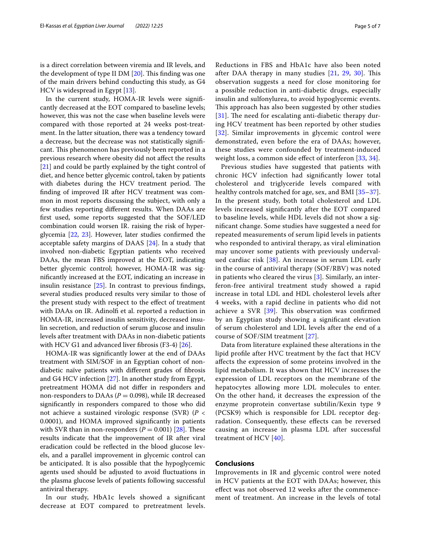is a direct correlation between viremia and IR levels, and the development of type II DM  $[20]$ . This finding was one of the main drivers behind conducting this study, as G4 HCV is widespread in Egypt [[13](#page-5-12)].

In the current study, HOMA-IR levels were signifcantly decreased at the EOT compared to baseline levels; however, this was not the case when baseline levels were compared with those reported at 24 weeks post-treatment. In the latter situation, there was a tendency toward a decrease, but the decrease was not statistically signifcant. This phenomenon has previously been reported in a previous research where obesity did not afect the results [[21\]](#page-5-20) and could be partly explained by the tight control of diet, and hence better glycemic control, taken by patients with diabetes during the HCV treatment period. The fnding of improved IR after HCV treatment was common in most reports discussing the subject, with only a few studies reporting diferent results. When DAAs are frst used, some reports suggested that the SOF/LED combination could worsen IR. raising the risk of hyperglycemia [[22,](#page-6-0) [23](#page-6-1)]. However, later studies confrmed the acceptable safety margins of DAAS [\[24](#page-6-2)]. In a study that involved non-diabetic Egyptian patients who received DAAs, the mean FBS improved at the EOT, indicating better glycemic control; however, HOMA-IR was signifcantly increased at the EOT, indicating an increase in insulin resistance [[25\]](#page-6-3). In contrast to previous fndings, several studies produced results very similar to those of the present study with respect to the efect of treatment with DAAs on IR. Adinolf et al. reported a reduction in HOMA-IR, increased insulin sensitivity, decreased insulin secretion, and reduction of serum glucose and insulin levels after treatment with DAAs in non-diabetic patients with HCV G1 and advanced liver fbrosis (F3-4) [[26\]](#page-6-4).

HOMA-IR was signifcantly lower at the end of DAAs treatment with SIM/SOF in an Egyptian cohort of nondiabetic naïve patients with diferent grades of fbrosis and G4 HCV infection [[27\]](#page-6-5). In another study from Egypt, pretreatment HOMA did not difer in responders and non-responders to DAAs ( $P = 0.098$ ), while IR decreased signifcantly in responders compared to those who did not achieve a sustained virologic response (SVR) (*P* < 0.0001), and HOMA improved signifcantly in patients with SVR than in non-responders  $(P = 0.001)$  [\[28\]](#page-6-6). These results indicate that the improvement of IR after viral eradication could be refected in the blood glucose levels, and a parallel improvement in glycemic control can be anticipated. It is also possible that the hypoglycemic agents used should be adjusted to avoid fuctuations in the plasma glucose levels of patients following successful antiviral therapy.

In our study, HbA1c levels showed a signifcant decrease at EOT compared to pretreatment levels.

Reductions in FBS and HbA1c have also been noted after DAA therapy in many studies  $[21, 29, 30]$  $[21, 29, 30]$  $[21, 29, 30]$  $[21, 29, 30]$  $[21, 29, 30]$ . This observation suggests a need for close monitoring for a possible reduction in anti-diabetic drugs, especially insulin and sulfonylurea, to avoid hypoglycemic events. This approach has also been suggested by other studies  $[31]$  $[31]$  $[31]$ . The need for escalating anti-diabetic therapy during HCV treatment has been reported by other studies [[32](#page-6-10)]. Similar improvements in glycemic control were demonstrated, even before the era of DAAs; however, these studies were confounded by treatment-induced weight loss, a common side effect of interferon [[33](#page-6-11), [34\]](#page-6-12).

Previous studies have suggested that patients with chronic HCV infection had signifcantly lower total cholesterol and triglyceride levels compared with healthy controls matched for age, sex, and BMI [[35–](#page-6-13)[37](#page-6-14)]. In the present study, both total cholesterol and LDL levels increased signifcantly after the EOT compared to baseline levels, while HDL levels did not show a signifcant change. Some studies have suggested a need for repeated measurements of serum lipid levels in patients who responded to antiviral therapy, as viral elimination may uncover some patients with previously undervalued cardiac risk [\[38\]](#page-6-15). An increase in serum LDL early in the course of antiviral therapy (SOF/RBV) was noted in patients who cleared the virus [[3\]](#page-5-2). Similarly, an interferon-free antiviral treatment study showed a rapid increase in total LDL and HDL cholesterol levels after 4 weeks, with a rapid decline in patients who did not achieve a SVR  $[39]$  $[39]$  $[39]$ . This observation was confirmed by an Egyptian study showing a signifcant elevation of serum cholesterol and LDL levels after the end of a course of SOF/SIM treatment [\[27\]](#page-6-5).

Data from literature explained these alterations in the lipid profle after HVC treatment by the fact that HCV afects the expression of some proteins involved in the lipid metabolism. It was shown that HCV increases the expression of LDL receptors on the membrane of the hepatocytes allowing more LDL molecules to enter. On the other hand, it decreases the expression of the enzyme proprotein convertase subtilin/Kexin type 9 (PCSK9) which is responsible for LDL receptor degradation. Consequently, these efects can be reversed causing an increase in plasma LDL after successful treatment of HCV [\[40](#page-6-17)].

#### **Conclusions**

Improvements in IR and glycemic control were noted in HCV patients at the EOT with DAAs; however, this efect was not observed 12 weeks after the commencement of treatment. An increase in the levels of total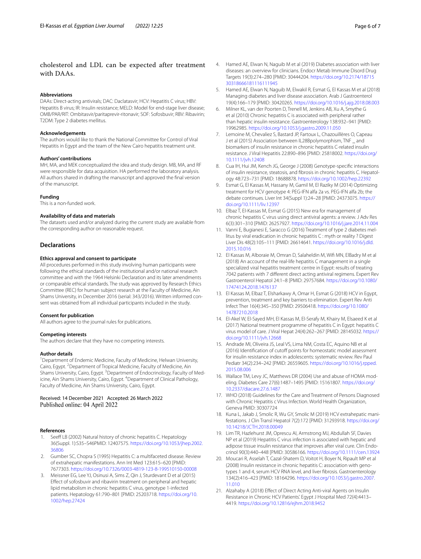## cholesterol and LDL can be expected after treatment with DAAs.

#### **Abbreviations**

DAAs: Direct-acting antivirals; DAC: Daclatasvir; HCV: Hepatitis C virus; HBV: Hepatitis B virus; IR: Insulin resistance; MELD: Model for end-stage liver disease; OMB/PAR/RIT: Ombitasvir/paritaprevir-ritonavir; SOF: Sofosbuvir; RBV: Ribavirin; T2DM: Type 2 diabetes mellitus.

#### **Acknowledgements**

The authors would like to thank the National Committee for Control of Viral Hepatitis in Egypt and the team of the New Cairo hepatitis treatment unit.

#### **Authors' contributions**

MH, MA, and MEK conceptualized the idea and study design. MB, MA, and RF were responsible for data acquisition. HA performed the laboratory analysis. All authors shared in drafting the manuscript and approved the fnal version of the manuscript.

#### **Funding**

This is a non-funded work.

#### **Availability of data and materials**

The datasets used and/or analyzed during the current study are available from the corresponding author on reasonable request.

## **Declarations**

#### **Ethics approval and consent to participate**

All procedures performed in this study involving human participants were following the ethical standards of the institutional and/or national research committee and with the 1964 Helsinki Declaration and its later amendments or comparable ethical standards. The study was approved by Research Ethics Committee (REC) for human subject research at the Faculty of Medicine, Ain Shams University, in December 2016 (serial: 343/2016). Written informed consent was obtained from all individual participants included in the study.

#### **Consent for publication**

All authors agree to the journal rules for publications.

#### **Competing interests**

The authors declare that they have no competing interests.

#### **Author details**

<sup>1</sup> Department of Endemic Medicine, Faculty of Medicine, Helwan University, Cairo, Egypt. <sup>2</sup> Department of Tropical Medicine, Faculty of Medicine, Ain Shams University, Cairo, Egypt. <sup>3</sup> Department of Endocrinology, Faculty of Medicine, Ain Shams University, Cairo, Egypt. <sup>4</sup>Department of Clinical Pathology, Faculty of Medicine, Ain Shams University, Cairo, Egypt.

# Received: 14 December 2021 Accepted: 26 March 2022

#### **References**

- <span id="page-5-0"></span>1. Seeff LB (2002) Natural history of chronic hepatitis C. Hepatology 36(Suppl. 1):S35–S46PMID: 12407575. [https://doi.org/10.1053/jhep.2002.](https://doi.org/10.1053/jhep.2002.36806) [36806](https://doi.org/10.1053/jhep.2002.36806)
- <span id="page-5-1"></span>2. Gumber SC, Chopra S (1995) Hepatitis C: a multifaceted disease. Review of extrahepatic manifestations. Ann Int Med 123:615–620 [PMID: 7677303.<https://doi.org/10.7326/0003-4819-123-8-199510150-00008>
- <span id="page-5-2"></span>3. Meissner EG, Lee YJ, Osinusi A, Sims Z, Qin J, Sturdevant D et al (2015) Efect of sofosbuvir and ribavirin treatment on peripheral and hepatic lipid metabolism in chronic hepatitis C virus, genotype 1-infected patients. Hepatology 61:790–801 [PMID: 25203718. [https://doi.org/10.](https://doi.org/10.1002/hep.27424) [1002/hep.27424](https://doi.org/10.1002/hep.27424)
- <span id="page-5-3"></span>4. Hamed AE, Elwan N, Naguib M et al (2019) Diabetes association with liver diseases: an overview for clinicians. Endocr Metab Immune Disord Drug Targets 19(3):274–280 [PMID: 30444204. [https://doi.org/10.2174/18715](https://doi.org/10.2174/1871530318666181116111945) [30318666181116111945](https://doi.org/10.2174/1871530318666181116111945)
- <span id="page-5-4"></span>5. Hamed AE, Elwan N, Naguib M, Elwakil R, Esmat G, El Kassas M et al (2018) Managing diabetes and liver disease association. Arab J Gastroenterol 19(4):166–179 [PMID: 30420265.<https://doi.org/10.1016/j.ajg.2018.08.003>
- <span id="page-5-5"></span>6. Milner KL, van der Poorten D, Trenell M, Jenkins AB, Xu A, Smythe G et al (2010) Chronic hepatitis C is associated with peripheral rather than hepatic insulin resistance. Gastroenterology 138:932–941 [PMID: 19962985. <https://doi.org/10.1053/j.gastro.2009.11.050>
- <span id="page-5-6"></span>7. Lemoine M, Chevaliez S, Bastard JP, Fartoux L, Chazouillères O, Capeau J et al (2015) Association between IL28Bpolymorphism, TNF \_ and biomarkers of insulin resistance in chronic hepatitis C-related insulin resistance. J Viral Hepatitis 22:890–896 [PMID: 25818002. [https://doi.org/](https://doi.org/10.1111/jvh.12408) [10.1111/jvh.12408](https://doi.org/10.1111/jvh.12408)
- <span id="page-5-7"></span>8. Cua IH, Hui JM, Kench JG, George J (2008) Genotype-specific interactions of insulin resistance, steatosis, and fibrosis in chronic hepatitis C. Hepatology 48:723–731 [PMID: 18688878. <https://doi.org/10.1002/hep.22392>
- <span id="page-5-8"></span>9. Esmat G, El Kassas M, Hassany M, Gamil M, El Raziky M (2014) Optimizing treatment for HCV genotype 4: PEG-IFN alfa 2a vs. PEG-IFN alfa 2b; the debate continues. Liver Int 34(Suppl 1):24–28 [PMID: 24373075. [https://](https://doi.org/10.1111/liv.12397) [doi.org/10.1111/liv.12397](https://doi.org/10.1111/liv.12397)
- <span id="page-5-9"></span>10. Elbaz T, El-Kassas M, Esmat G (2015) New era for management of chronic hepatitis C virus using direct antiviral agents: a review. J Adv Res 6(3):301–310 [PMID: 26257927. <https://doi.org/10.1016/j.jare.2014.11.004>
- <span id="page-5-10"></span>11. Vanni E, Bugianesi E, Saracco G (2016) Treatment of type 2 diabetes mellitus by viral eradication in chronic hepatitis C : myth or reality ? Digest Liver Dis 48(2):105–111 [PMID: 26614641. [https://doi.org/10.1016/j.dld.](https://doi.org/10.1016/j.dld.2015.10.016) [2015.10.016](https://doi.org/10.1016/j.dld.2015.10.016)
- <span id="page-5-11"></span>12. El Kassas M, Alboraie M, Omran D, Salaheldin M, Wif MN, ElBadry M et al (2018) An account of the real-life hepatitis C management in a single specialized viral hepatitis treatment centre in Egypt: results of treating 7042 patients with 7 diferent direct acting antiviral regimens. Expert Rev Gastroenterol Hepatol 24:1–8 [PMID: 29757684. [https://doi.org/10.1080/](https://doi.org/10.1080/17474124.2018.1476137) [17474124.2018.1476137](https://doi.org/10.1080/17474124.2018.1476137)
- <span id="page-5-12"></span>13. El Kassas M, Elbaz T, Elsharkawy A, Omar H, Esmat G (2018) HCV in Egypt, prevention, treatment and key barriers to elimination. Expert Rev Anti Infect Ther 16(4):345–350 [PMID: 29506418. [https://doi.org/10.1080/](https://doi.org/10.1080/14787210.2018) [14787210.2018](https://doi.org/10.1080/14787210.2018)
- <span id="page-5-13"></span>14. El-Akel W, El-Sayed MH, El Kassas M, El-Serafy M, Khairy M, Elsaeed K et al (2017) National treatment programme of hepatitis C in Egypt: hepatitis C virus model of care. J Viral Hepat 24(4):262–267 [PMID: 28145032. [https://](https://doi.org/10.1111/jvh.12668) [doi.org/10.1111/jvh.12668](https://doi.org/10.1111/jvh.12668)
- <span id="page-5-14"></span>15. Andrade MI, Oliveira JS, Leal VS, Lima NM, Costa EC, Aquino NB et al (2016) Identification of cutoff points for homeostatic model assessment for insulin resistance index in adolescents: systematic review. Rev Paul Pediatr 34(2):234–242 [PMID: 26559605. [https://doi.org/10.1016/j.rpped.](https://doi.org/10.1016/j.rpped.2015.08.006) [2015.08.006](https://doi.org/10.1016/j.rpped.2015.08.006)
- <span id="page-5-15"></span>16. Wallace TM, Levy JC, Matthews DR (2004) Use and abuse of HOMA modeling. Diabetes Care 27(6):1487–1495 [PMID: 15161807. [https://doi.org/](https://doi.org/10.2337/diacare.27.6.1487) [10.2337/diacare.27.6.1487](https://doi.org/10.2337/diacare.27.6.1487)
- <span id="page-5-16"></span>17. WHO (2018) Guidelines for the Care and Treatment of Persons Diagnosed with Chronic Hepatitis c Virus Infection. World Health Organization, Geneva PMID: 30307724
- <span id="page-5-17"></span>18. Kuna L, Jakab J, Smolic R, Wu GY, Smolic M (2019) HCV extrahepatic manifestations. J Clin Transl Hepatol 7(2):172 [PMID: 31293918. [https://doi.org/](https://doi.org/10.14218/JCTH.2018.00049) [10.14218/JCTH.2018.00049](https://doi.org/10.14218/JCTH.2018.00049)
- <span id="page-5-18"></span>19. Lim TR, Hazlehurst JM, Oprescu AI, Armstrong MJ, Abdullah SF, Davies NP et al (2019) Hepatitis C virus infection is associated with hepatic and adipose tissue insulin resistance that improves after viral cure. Clin Endocrinol 90(3):440–448 [PMID: 30586166. <https://doi.org/10.1111/cen.13924>
- <span id="page-5-19"></span>20. Moucari R, Asselah T, Cazal-Shatem D, Voitot H, Boyer N, Ripault MP et al (2008) Insulin resistance in chronic hepatitis C: association with genotypes 1 and 4, serum HCV RNA level, and liver fbrosis. Gastroenterology 134(2):416–423 [PMID: 18164296. [https://doi.org/10.1053/j.gastro.2007.](https://doi.org/10.1053/j.gastro.2007.11.010) [11.010](https://doi.org/10.1053/j.gastro.2007.11.010)
- <span id="page-5-20"></span>21. Alzahaby A (2018) Efect of Direct Acting Anti-viral Agents on Insulin Resistance in Chronic HCV Patients'. Egypt J Hospital Med 72(4):4413– 4419.<https://doi.org/10.12816/ejhm.2018.9452>